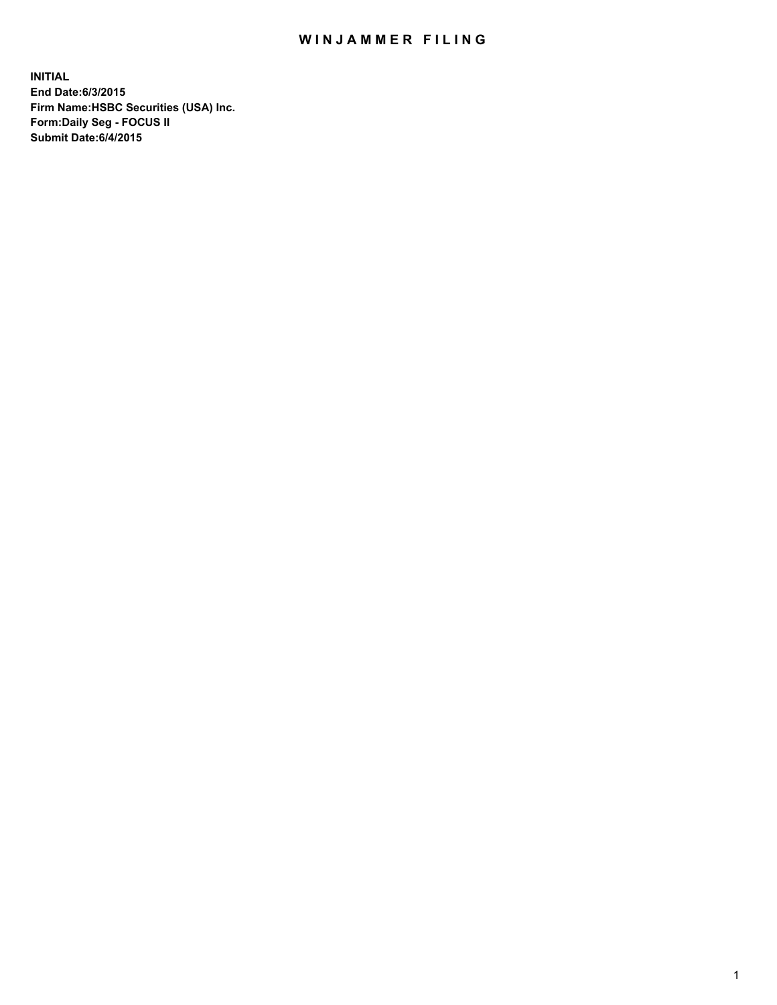## WIN JAMMER FILING

**INITIAL End Date:6/3/2015 Firm Name:HSBC Securities (USA) Inc. Form:Daily Seg - FOCUS II Submit Date:6/4/2015**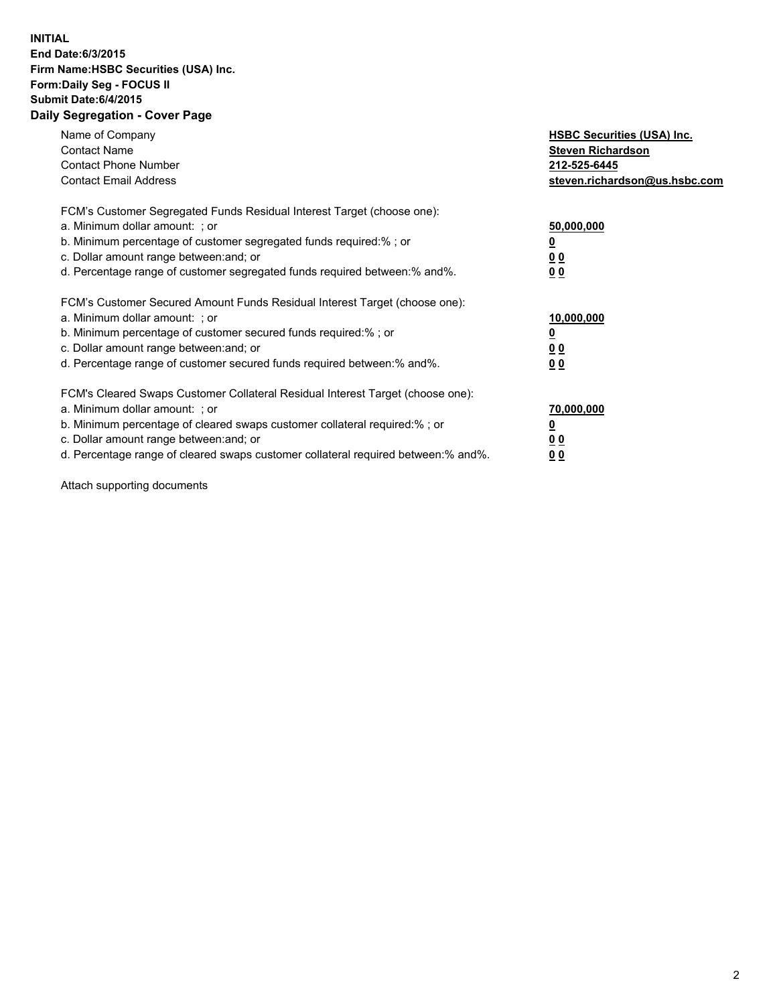## **INITIAL End Date:6/3/2015 Firm Name:HSBC Securities (USA) Inc. Form:Daily Seg - FOCUS II Submit Date:6/4/2015 Daily Segregation - Cover Page**

| Name of Company<br><b>Contact Name</b><br><b>Contact Phone Number</b><br><b>Contact Email Address</b>                                                                                                                                                                                                                          | <b>HSBC Securities (USA) Inc.</b><br><b>Steven Richardson</b><br>212-525-6445<br>steven.richardson@us.hsbc.com |
|--------------------------------------------------------------------------------------------------------------------------------------------------------------------------------------------------------------------------------------------------------------------------------------------------------------------------------|----------------------------------------------------------------------------------------------------------------|
| FCM's Customer Segregated Funds Residual Interest Target (choose one):<br>a. Minimum dollar amount: ; or<br>b. Minimum percentage of customer segregated funds required:%; or<br>c. Dollar amount range between: and; or<br>d. Percentage range of customer segregated funds required between:% and%.                          | 50,000,000<br>00<br>00                                                                                         |
| FCM's Customer Secured Amount Funds Residual Interest Target (choose one):<br>a. Minimum dollar amount: ; or<br>b. Minimum percentage of customer secured funds required:%; or<br>c. Dollar amount range between: and; or<br>d. Percentage range of customer secured funds required between:% and%.                            | 10,000,000<br>0 <sub>0</sub><br>00                                                                             |
| FCM's Cleared Swaps Customer Collateral Residual Interest Target (choose one):<br>a. Minimum dollar amount: ; or<br>b. Minimum percentage of cleared swaps customer collateral required:% ; or<br>c. Dollar amount range between: and; or<br>d. Percentage range of cleared swaps customer collateral required between:% and%. | 70,000,000<br><u>00</u><br><u>00</u>                                                                           |

Attach supporting documents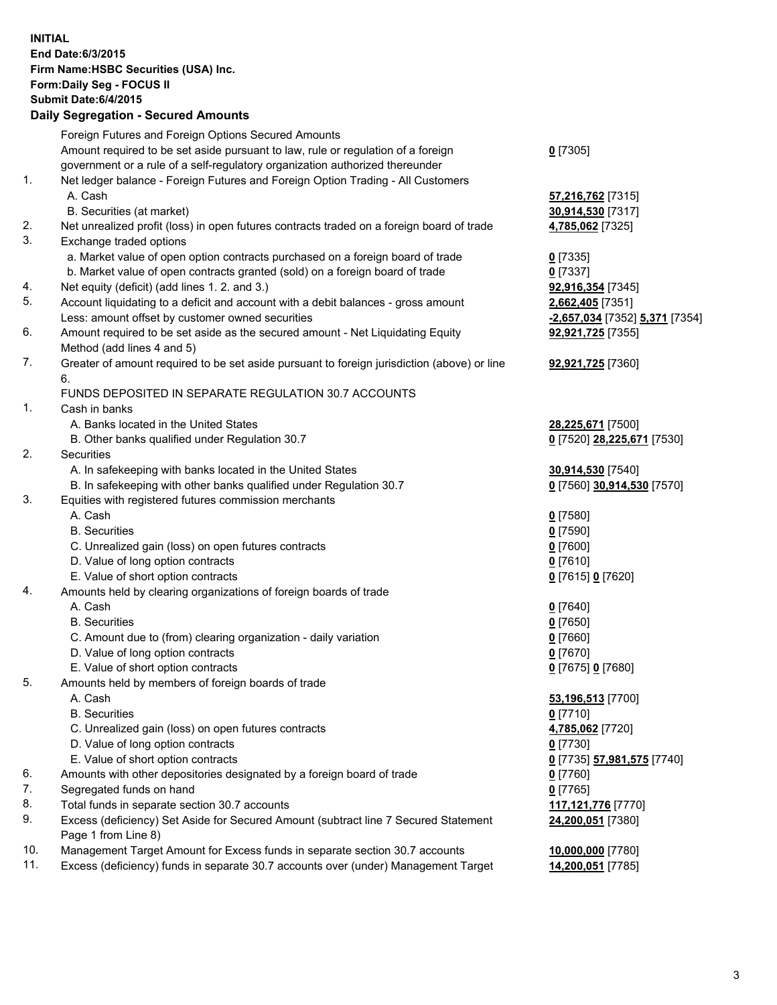**INITIAL End Date:6/3/2015 Firm Name:HSBC Securities (USA) Inc. Form:Daily Seg - FOCUS II Submit Date:6/4/2015 Daily Segregation - Secured Amounts** Foreign Futures and Foreign Options Secured Amounts Amount required to be set aside pursuant to law, rule or regulation of a foreign government or a rule of a self-regulatory organization authorized thereunder **0** [7305] 1. Net ledger balance - Foreign Futures and Foreign Option Trading - All Customers A. Cash **57,216,762** [7315] B. Securities (at market) **30,914,530** [7317] 2. Net unrealized profit (loss) in open futures contracts traded on a foreign board of trade **4,785,062** [7325] 3. Exchange traded options a. Market value of open option contracts purchased on a foreign board of trade **0** [7335] b. Market value of open contracts granted (sold) on a foreign board of trade **0** [7337] 4. Net equity (deficit) (add lines 1. 2. and 3.) **92,916,354** [7345] 5. Account liquidating to a deficit and account with a debit balances - gross amount **2,662,405** [7351] Less: amount offset by customer owned securities **-2,657,034** [7352] **5,371** [7354] 6. Amount required to be set aside as the secured amount - Net Liquidating Equity Method (add lines 4 and 5) **92,921,725** [7355] 7. Greater of amount required to be set aside pursuant to foreign jurisdiction (above) or line 6. **92,921,725** [7360] FUNDS DEPOSITED IN SEPARATE REGULATION 30.7 ACCOUNTS 1. Cash in banks A. Banks located in the United States **28,225,671** [7500] B. Other banks qualified under Regulation 30.7 **0** [7520] **28,225,671** [7530] 2. Securities A. In safekeeping with banks located in the United States **30,914,530** [7540] B. In safekeeping with other banks qualified under Regulation 30.7 **0** [7560] **30,914,530** [7570] 3. Equities with registered futures commission merchants A. Cash **0** [7580] B. Securities **0** [7590] C. Unrealized gain (loss) on open futures contracts **0** [7600] D. Value of long option contracts **0** [7610] E. Value of short option contracts **0** [7615] **0** [7620] 4. Amounts held by clearing organizations of foreign boards of trade A. Cash **0** [7640] B. Securities **0** [7650] C. Amount due to (from) clearing organization - daily variation **0** [7660] D. Value of long option contracts **0** [7670] E. Value of short option contracts **0** [7675] **0** [7680] 5. Amounts held by members of foreign boards of trade A. Cash **53,196,513** [7700] B. Securities **0** [7710] C. Unrealized gain (loss) on open futures contracts **4,785,062** [7720] D. Value of long option contracts **0** [7730] E. Value of short option contracts **0** [7735] **57,981,575** [7740] 6. Amounts with other depositories designated by a foreign board of trade **0** [7760] 7. Segregated funds on hand **0** [7765] 8. Total funds in separate section 30.7 accounts **117,121,776** [7770] 9. Excess (deficiency) Set Aside for Secured Amount (subtract line 7 Secured Statement Page 1 from Line 8) **24,200,051** [7380] 10. Management Target Amount for Excess funds in separate section 30.7 accounts **10,000,000** [7780] 11. Excess (deficiency) funds in separate 30.7 accounts over (under) Management Target **14,200,051** [7785]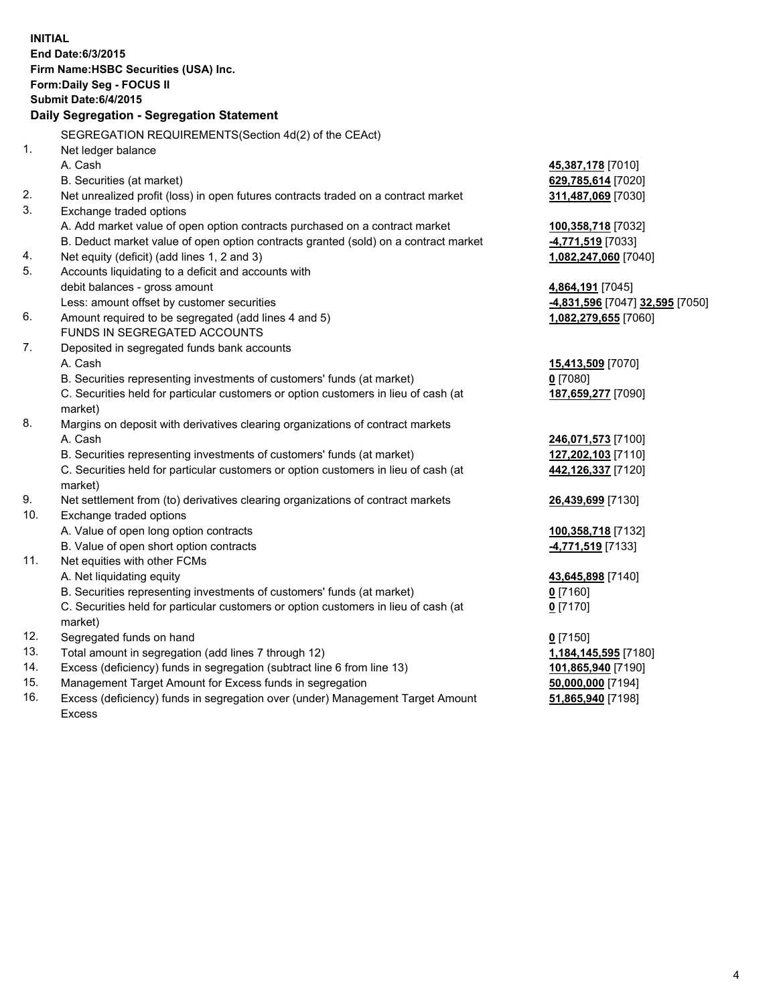| <b>INITIAL</b>                            | End Date: 6/3/2015<br>Firm Name: HSBC Securities (USA) Inc.<br>Form: Daily Seg - FOCUS II<br>Submit Date: 6/4/2015 |                                 |  |  |
|-------------------------------------------|--------------------------------------------------------------------------------------------------------------------|---------------------------------|--|--|
| Daily Segregation - Segregation Statement |                                                                                                                    |                                 |  |  |
|                                           | SEGREGATION REQUIREMENTS(Section 4d(2) of the CEAct)                                                               |                                 |  |  |
| 1.                                        | Net ledger balance                                                                                                 |                                 |  |  |
|                                           | A. Cash                                                                                                            | 45,387,178 [7010]               |  |  |
|                                           | B. Securities (at market)                                                                                          | 629,785,614 [7020]              |  |  |
| 2.                                        | Net unrealized profit (loss) in open futures contracts traded on a contract market                                 | 311,487,069 [7030]              |  |  |
| 3.                                        | Exchange traded options                                                                                            |                                 |  |  |
|                                           | A. Add market value of open option contracts purchased on a contract market                                        | 100,358,718 [7032]              |  |  |
|                                           | B. Deduct market value of open option contracts granted (sold) on a contract market                                | 4,771,519 [7033]                |  |  |
| 4.                                        | Net equity (deficit) (add lines 1, 2 and 3)                                                                        | 1,082,247,060 [7040]            |  |  |
| 5.                                        | Accounts liquidating to a deficit and accounts with                                                                |                                 |  |  |
|                                           | debit balances - gross amount                                                                                      | 4,864,191 [7045]                |  |  |
|                                           | Less: amount offset by customer securities                                                                         | -4,831,596 [7047] 32,595 [7050] |  |  |
| 6.                                        | Amount required to be segregated (add lines 4 and 5)                                                               | 1,082,279,655 [7060]            |  |  |
|                                           | FUNDS IN SEGREGATED ACCOUNTS                                                                                       |                                 |  |  |
| 7.                                        | Deposited in segregated funds bank accounts                                                                        |                                 |  |  |
|                                           | A. Cash                                                                                                            | 15,413,509 [7070]               |  |  |
|                                           | B. Securities representing investments of customers' funds (at market)                                             | $0$ [7080]                      |  |  |
|                                           | C. Securities held for particular customers or option customers in lieu of cash (at                                | 187,659,277 [7090]              |  |  |
|                                           | market)                                                                                                            |                                 |  |  |
| 8.                                        | Margins on deposit with derivatives clearing organizations of contract markets                                     |                                 |  |  |
|                                           | A. Cash                                                                                                            | 246,071,573 [7100]              |  |  |
|                                           | B. Securities representing investments of customers' funds (at market)                                             | 127,202,103 [7110]              |  |  |
|                                           | C. Securities held for particular customers or option customers in lieu of cash (at                                | 442,126,337 [7120]              |  |  |
|                                           | market)                                                                                                            |                                 |  |  |
| 9.                                        | Net settlement from (to) derivatives clearing organizations of contract markets                                    | 26,439,699 [7130]               |  |  |
| 10.                                       | Exchange traded options                                                                                            |                                 |  |  |
|                                           | A. Value of open long option contracts                                                                             | 100,358,718 [7132]              |  |  |
|                                           | B. Value of open short option contracts                                                                            | 4,771,519 [7133]                |  |  |
| 11.                                       | Net equities with other FCMs                                                                                       |                                 |  |  |
|                                           | A. Net liquidating equity<br>B. Securities representing investments of customers' funds (at market)                | 43,645,898 [7140]               |  |  |
|                                           | C. Securities held for particular customers or option customers in lieu of cash (at                                | 0 [7160]<br>$0$ [7170]          |  |  |
|                                           | market)                                                                                                            |                                 |  |  |
| 12.                                       | Segregated funds on hand                                                                                           | $0$ [7150]                      |  |  |
| 13.                                       | Total amount in segregation (add lines 7 through 12)                                                               | 1,184,145,595 [7180]            |  |  |
| 14.                                       | Excess (deficiency) funds in segregation (subtract line 6 from line 13)                                            | 101,865,940 [7190]              |  |  |
| 15.                                       | Management Target Amount for Excess funds in segregation                                                           | 50,000,000 [7194]               |  |  |
| 16.                                       | Excess (deficiency) funds in segregation over (under) Management Target Amount                                     | 51,865,940 [7198]               |  |  |
|                                           | <b>Excess</b>                                                                                                      |                                 |  |  |